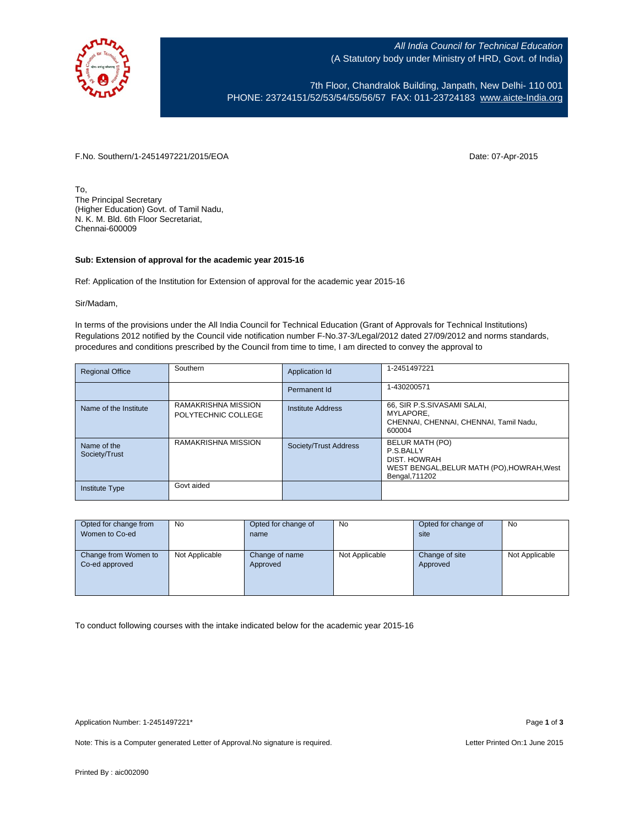

All India Council for Technical Education (A Statutory body under Ministry of HRD, Govt. of India)

7th Floor, Chandralok Building, Janpath, New Delhi- 110 001 PHONE: 23724151/52/53/54/55/56/57 FAX: 011-23724183 [www.aicte-India.org](http://www.aicte-india.org/)

F.No. Southern/1-2451497221/2015/EOA Date: 07-Apr-2015

To, The Principal Secretary (Higher Education) Govt. of Tamil Nadu, N. K. M. Bld. 6th Floor Secretariat, Chennai-600009

## **Sub: Extension of approval for the academic year 2015-16**

Ref: Application of the Institution for Extension of approval for the academic year 2015-16

Sir/Madam,

In terms of the provisions under the All India Council for Technical Education (Grant of Approvals for Technical Institutions) Regulations 2012 notified by the Council vide notification number F-No.37-3/Legal/2012 dated 27/09/2012 and norms standards, procedures and conditions prescribed by the Council from time to time, I am directed to convey the approval to

| <b>Regional Office</b>       | Southern                                   | Application Id           | 1-2451497221                                                                                                 |
|------------------------------|--------------------------------------------|--------------------------|--------------------------------------------------------------------------------------------------------------|
|                              |                                            | Permanent Id             | 1-430200571                                                                                                  |
| Name of the Institute        | RAMAKRISHNA MISSION<br>POLYTECHNIC COLLEGE | <b>Institute Address</b> | 66, SIR P.S.SIVASAMI SALAI,<br>MYLAPORE.<br>CHENNAI, CHENNAI, CHENNAI, Tamil Nadu,<br>600004                 |
| Name of the<br>Society/Trust | RAMAKRISHNA MISSION                        | Society/Trust Address    | BELUR MATH (PO)<br>P.S.BALLY<br>DIST. HOWRAH<br>WEST BENGAL, BELUR MATH (PO), HOWRAH, West<br>Bengal, 711202 |
| <b>Institute Type</b>        | Govt aided                                 |                          |                                                                                                              |

| Opted for change from | <b>No</b>      | Opted for change of | No             | Opted for change of | <b>No</b>      |
|-----------------------|----------------|---------------------|----------------|---------------------|----------------|
| Women to Co-ed        |                | name                |                | site                |                |
|                       |                |                     |                |                     |                |
| Change from Women to  | Not Applicable | Change of name      | Not Applicable | Change of site      | Not Applicable |
| Co-ed approved        |                | Approved            |                | Approved            |                |
|                       |                |                     |                |                     |                |
|                       |                |                     |                |                     |                |
|                       |                |                     |                |                     |                |

To conduct following courses with the intake indicated below for the academic year 2015-16

Note: This is a Computer generated Letter of Approval. No signature is required. Letter Printed On:1 June 2015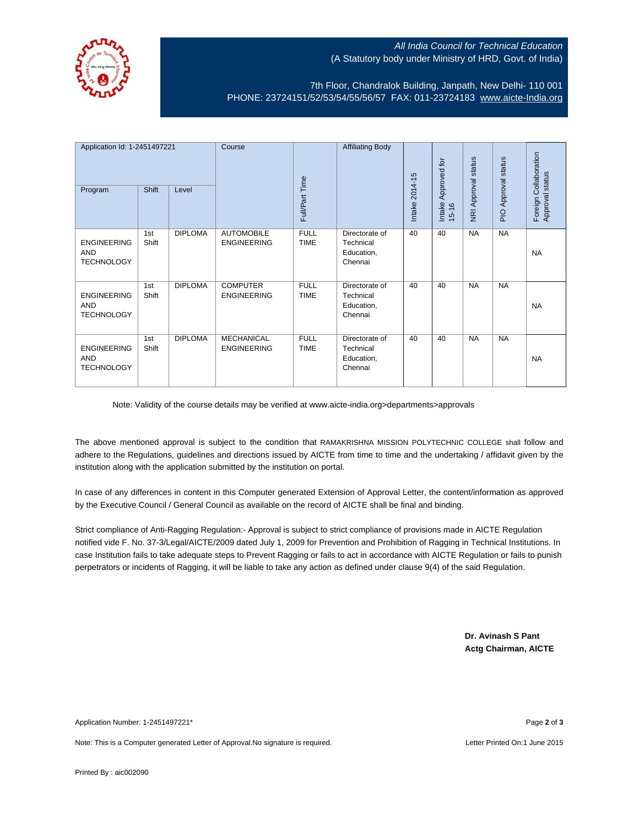

## All India Council for Technical Education (A Statutory body under Ministry of HRD, Govt. of India)

7th Floor, Chandralok Building, Janpath, New Delhi- 110 001 PHONE: 23724151/52/53/54/55/56/57 FAX: 011-23724183 [www.aicte-India.org](http://www.aicte-india.org/)

| Application Id: 1-2451497221<br>Program               | Shift        | Level          | Course                                  | Full/Part Time             | <b>Affiliating Body</b>                              | 2014-15<br>Intake: | Approved for<br>Intake<br>$15 - 16$ | NRI Approval status | status<br><b>PIO Approval</b> | Foreign Collaboration<br>Approval status |
|-------------------------------------------------------|--------------|----------------|-----------------------------------------|----------------------------|------------------------------------------------------|--------------------|-------------------------------------|---------------------|-------------------------------|------------------------------------------|
| <b>ENGINEERING</b><br><b>AND</b><br><b>TECHNOLOGY</b> | 1st<br>Shift | <b>DIPLOMA</b> | <b>AUTOMOBILE</b><br><b>ENGINEERING</b> | <b>FULL</b><br><b>TIME</b> | Directorate of<br>Technical<br>Education,<br>Chennai | 40                 | 40                                  | <b>NA</b>           | <b>NA</b>                     | <b>NA</b>                                |
| <b>ENGINEERING</b><br><b>AND</b><br><b>TECHNOLOGY</b> | 1st<br>Shift | <b>DIPLOMA</b> | <b>COMPUTER</b><br><b>ENGINEERING</b>   | <b>FULL</b><br><b>TIME</b> | Directorate of<br>Technical<br>Education,<br>Chennai | 40                 | 40                                  | <b>NA</b>           | <b>NA</b>                     | <b>NA</b>                                |
| <b>ENGINEERING</b><br><b>AND</b><br><b>TECHNOLOGY</b> | 1st<br>Shift | <b>DIPLOMA</b> | <b>MECHANICAL</b><br><b>ENGINEERING</b> | <b>FULL</b><br><b>TIME</b> | Directorate of<br>Technical<br>Education,<br>Chennai | 40                 | 40                                  | <b>NA</b>           | <b>NA</b>                     | <b>NA</b>                                |

Note: Validity of the course details may be verified at www.aicte-india.org>departments>approvals

The above mentioned approval is subject to the condition that RAMAKRISHNA MISSION POLYTECHNIC COLLEGE shall follow and adhere to the Regulations, guidelines and directions issued by AICTE from time to time and the undertaking / affidavit given by the institution along with the application submitted by the institution on portal.

In case of any differences in content in this Computer generated Extension of Approval Letter, the content/information as approved by the Executive Council / General Council as available on the record of AICTE shall be final and binding.

Strict compliance of Anti-Ragging Regulation:- Approval is subject to strict compliance of provisions made in AICTE Regulation notified vide F. No. 37-3/Legal/AICTE/2009 dated July 1, 2009 for Prevention and Prohibition of Ragging in Technical Institutions. In case Institution fails to take adequate steps to Prevent Ragging or fails to act in accordance with AICTE Regulation or fails to punish perpetrators or incidents of Ragging, it will be liable to take any action as defined under clause 9(4) of the said Regulation.

> **Dr. Avinash S Pant Actg Chairman, AICTE**

Application Number: 1-2451497221\* Page **2** of **3**

Note: This is a Computer generated Letter of Approval. No signature is required. Letter Printed On:1 June 2015